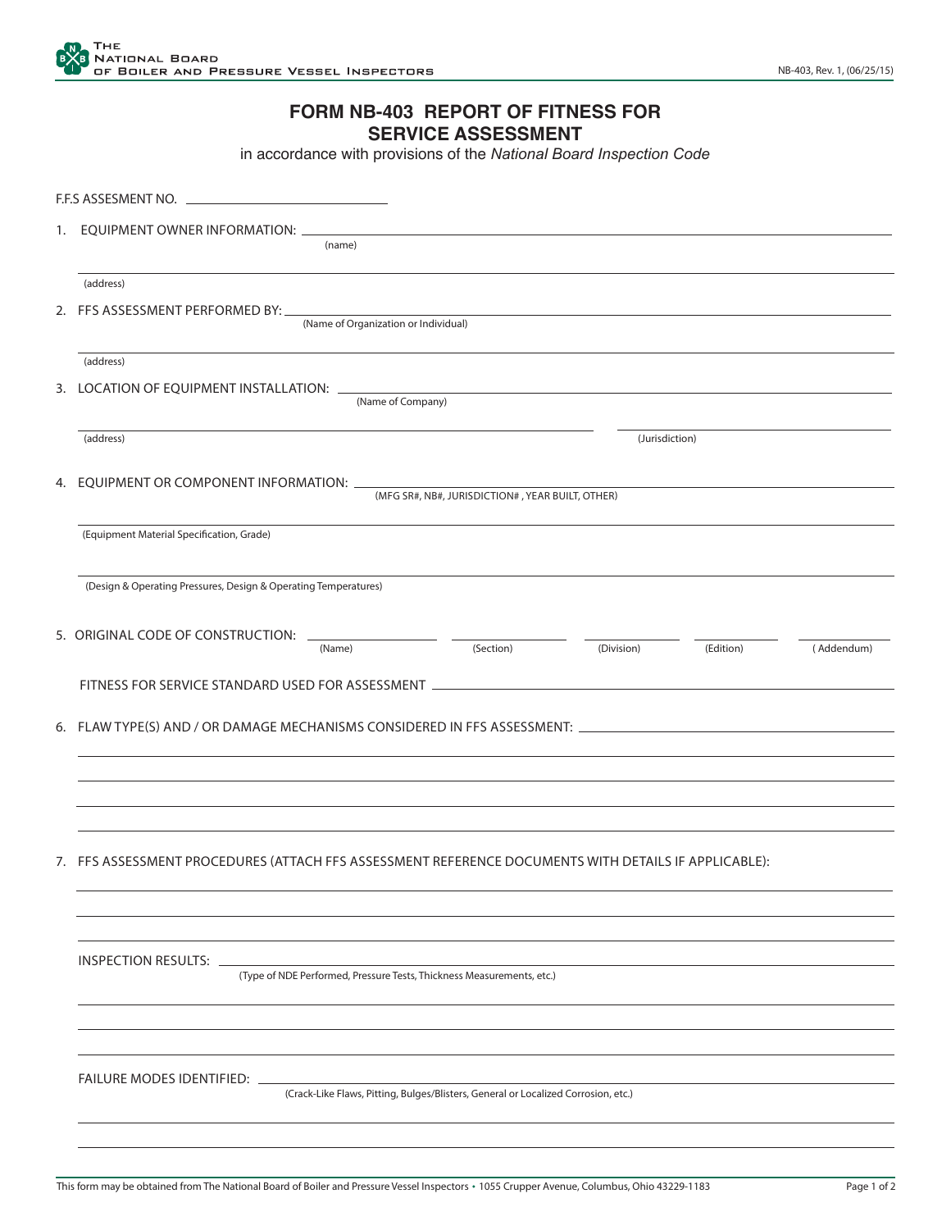## **FORM NB-403 REPORT OF FITNESS FOR SERVICE ASSESSMENT**

in accordance with provisions of the *National Board Inspection Code*

| F.F.S ASSESMENT NO.                                                                                               |  |  |  |  |
|-------------------------------------------------------------------------------------------------------------------|--|--|--|--|
| 1. EQUIPMENT OWNER INFORMATION:<br>(name)                                                                         |  |  |  |  |
|                                                                                                                   |  |  |  |  |
| (address)                                                                                                         |  |  |  |  |
| 2. FFS ASSESSMENT PERFORMED BY:<br>(Name of Organization or Individual)                                           |  |  |  |  |
|                                                                                                                   |  |  |  |  |
| (address)                                                                                                         |  |  |  |  |
| 3. LOCATION OF EQUIPMENT INSTALLATION:<br>(Name of Company)                                                       |  |  |  |  |
|                                                                                                                   |  |  |  |  |
| (address)<br>(Jurisdiction)                                                                                       |  |  |  |  |
| 4. EQUIPMENT OR COMPONENT INFORMATION: _                                                                          |  |  |  |  |
| (MFG SR#, NB#, JURISDICTION#, YEAR BUILT, OTHER)                                                                  |  |  |  |  |
| (Equipment Material Specification, Grade)                                                                         |  |  |  |  |
|                                                                                                                   |  |  |  |  |
| (Design & Operating Pressures, Design & Operating Temperatures)                                                   |  |  |  |  |
|                                                                                                                   |  |  |  |  |
| 5. ORIGINAL CODE OF CONSTRUCTION:<br>(Name)<br>(Section)<br>(Division)<br>(Edition)<br>(Addendum)                 |  |  |  |  |
|                                                                                                                   |  |  |  |  |
| FITNESS FOR SERVICE STANDARD USED FOR ASSESSMENT ________________________________                                 |  |  |  |  |
|                                                                                                                   |  |  |  |  |
|                                                                                                                   |  |  |  |  |
|                                                                                                                   |  |  |  |  |
|                                                                                                                   |  |  |  |  |
|                                                                                                                   |  |  |  |  |
| 7. FFS ASSESSMENT PROCEDURES (ATTACH FFS ASSESSMENT REFERENCE DOCUMENTS WITH DETAILS IF APPLICABLE):              |  |  |  |  |
|                                                                                                                   |  |  |  |  |
|                                                                                                                   |  |  |  |  |
|                                                                                                                   |  |  |  |  |
| <b>INSPECTION RESULTS:</b>                                                                                        |  |  |  |  |
| (Type of NDE Performed, Pressure Tests, Thickness Measurements, etc.)                                             |  |  |  |  |
|                                                                                                                   |  |  |  |  |
|                                                                                                                   |  |  |  |  |
|                                                                                                                   |  |  |  |  |
| FAILURE MODES IDENTIFIED: _<br>(Crack-Like Flaws, Pitting, Bulges/Blisters, General or Localized Corrosion, etc.) |  |  |  |  |
|                                                                                                                   |  |  |  |  |
|                                                                                                                   |  |  |  |  |